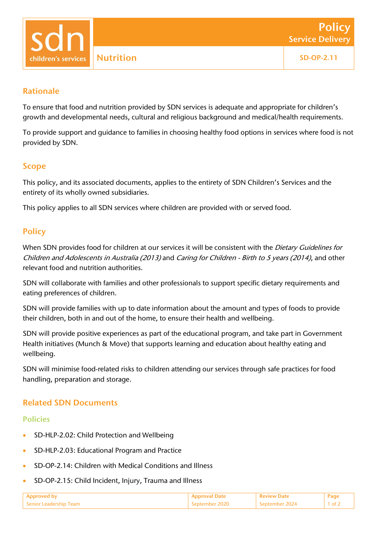children's services

# Rationale

To ensure that food and nutrition provided by SDN services is adequate and appropriate for children's growth and developmental needs, cultural and religious background and medical/health requirements.

To provide support and guidance to families in choosing healthy food options in services where food is not provided by SDN.

## Scope

This policy, and its associated documents, applies to the entirety of SDN Children's Services and the entirety of its wholly owned subsidiaries.

This policy applies to all SDN services where children are provided with or served food.

## **Policy**

When SDN provides food for children at our services it will be consistent with the Dietary Guidelines for Children and Adolescents in Australia (2013) and Caring for Children - Birth to 5 years (2014), and other relevant food and nutrition authorities.

SDN will collaborate with families and other professionals to support specific dietary requirements and eating preferences of children.

SDN will provide families with up to date information about the amount and types of foods to provide their children, both in and out of the home, to ensure their health and wellbeing.

SDN will provide positive experiences as part of the educational program, and take part in Government Health initiatives (Munch & Move) that supports learning and education about healthy eating and wellbeing.

SDN will minimise food-related risks to children attending our services through safe practices for food handling, preparation and storage.

## Related SDN Documents

#### Policies

- SD-HLP-2.02: Child Protection and Wellbeing
- SD-HLP-2.03: Educational Program and Practice
- SD-OP-2.14: Children with Medical Conditions and Illness
- SD-OP-2.15: Child Incident, Injury, Trauma and Illness

| Senior Leadershin Team | Sentember 2024 |  |
|------------------------|----------------|--|